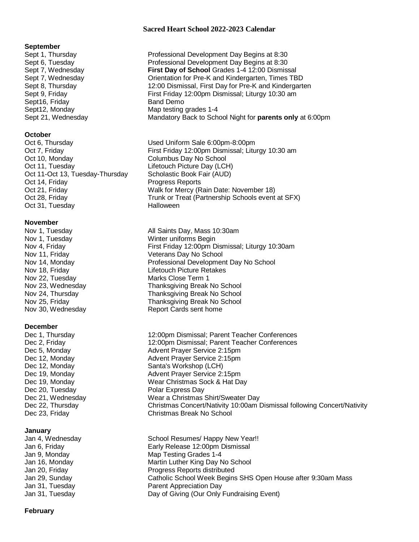## **Sacred Heart School 2022-2023 Calendar**

#### **September**

Sept16, Friday Band Demo

# **October**

Oct 10, Monday Columbus Day No School Oct 11, Tuesday **Lifetouch Picture Day (LCH)** Oct 11-Oct 13, Tuesday-Thursday Scholastic Book Fair (AUD) Oct 14, Friday **Progress Reports** Oct 31, Tuesday **Halloween** 

# **November**

Nov 22, Tuesday Marks Close Term 1

## **December**

Dec 20, Tuesday **Polar Express Day** 

## **January**

Sept 1, Thursday Professional Development Day Begins at 8:30 Sept 6, Tuesday Professional Development Day Begins at 8:30 Sept 7, Wednesday **First Day of School** Grades 1-4 12:00 Dismissal Sept 7, Wednesday Orientation for Pre-K and Kindergarten, Times TBD Sept 8, Thursday 12:00 Dismissal, First Day for Pre-K and Kindergarten Sept 9, Friday First Friday 12:00pm Dismissal; Liturgy 10:30 am Sept12, Monday Map testing grades 1-4 Sept 21, Wednesday Mandatory Back to School Night for **parents only** at 6:00pm

Oct 6, Thursday Used Uniform Sale 6:00pm-8:00pm Oct 7, Friday **Fills A. Elects Friday 12:00pm Dismissal**; Liturgy 10:30 am Oct 21, Friday **Walk for Mercy (Rain Date: November 18)** Oct 28, Friday Trunk or Treat (Partnership Schools event at SFX)

Nov 1, Tuesday **All Saints Day, Mass 10:30am** Nov 1, Tuesday Winter uniforms Begin Nov 4, Friday **First Friday 12:00pm Dismissal; Liturgy 10:30am** Nov 11, Friday November 2012 Veterans Day No School Nov 14, Monday **Professional Development Day No School** Nov 18, Friday Lifetouch Picture Retakes Nov 23, Wednesday Thanksgiving Break No School Nov 24, Thursday Thanksgiving Break No School Nov 25, Friday Thanksgiving Break No School Nov 30, Wednesday Report Cards sent home

Dec 1, Thursday 12:00pm Dismissal; Parent Teacher Conferences<br>Dec 2, Friday 12:00pm Dismissal; Parent Teacher Conferences 12:00pm Dismissal; Parent Teacher Conferences Dec 5, Monday **Advent Prayer Service 2:15pm** Dec 12, Monday **Advent Prayer Service 2:15pm** Dec 12, Monday Santa's Workshop (LCH) Dec 19, Monday **Advent Prayer Service 2:15pm** Dec 19, Monday Wear Christmas Sock & Hat Day Dec 21, Wednesday Mear a Christmas Shirt/Sweater Day Dec 22, Thursday Christmas Concert/Nativity 10:00am Dismissal following Concert/Nativity Dec 23, Friday Christmas Break No School

Jan 4, Wednesday School Resumes/ Happy New Year!! Jan 6, Friday Early Release 12:00pm Dismissal Jan 9, Monday Map Testing Grades 1-4 Jan 16, Monday **Martin Luther King Day No School** Jan 20, Friday Progress Reports distributed Jan 29, Sunday Catholic School Week Begins SHS Open House after 9:30am Mass Jan 31, Tuesday Parent Appreciation Day Jan 31, Tuesday Day of Giving (Our Only Fundraising Event)